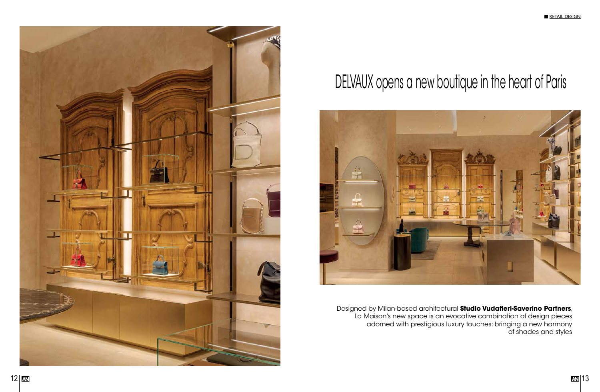



Designed by Milan-based architectural **Studio Vudafieri-Saverino Partners**, La Maison's new space is an evocative combination of design pieces adorned with prestigious luxury touches: bringing a new harmony of shades and styles

# DELVAUX opens a new boutique in the heart of Paris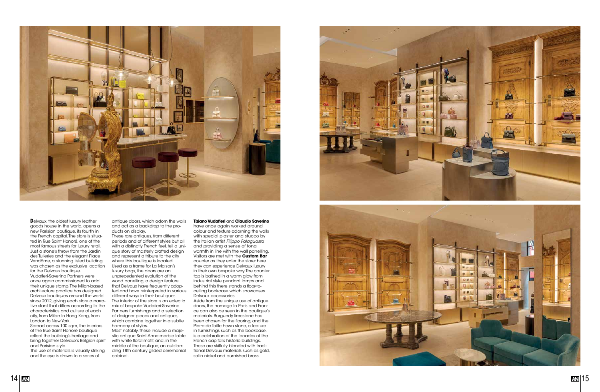



goods house in the world, opens a new Parisian boutique, its fourth in the French capital. The store is situa ted in Rue Saint Honoré, one of the most famous streets for luxury retail. Just a stone's throw from the Jardin des Tuileries and the elegant Place Vendôme, a stunning listed building was chosen as the exclusive location for the Delvaux boutique. Vudafieri-Saverino Partners were once again commissioned to add their unique stamp. The Milan-based architecture practice has designed Delvaux boutiques around the world since 2012, giving each store a narra tive slant that differs according to the characteristics and culture of each city, from Milan to Hong Kong, from

London to New York. Spread across 100 sqm, the interiors of the Rue Saint Honoré boutique reflect the building's heritage and bring together Delvaux's Belgian spirit and Parisian style.

These rare antiques, from different periods and of different styles but all with a distinctly French feel, tell a uni que story of masterly crafted design and represent a tribute to the city where this boutique is located. Used as a frame for La Maison's luxury bags, the doors are an unprecedented evolution of the wood panelling, a design feature that Delvaux have frequently adop ted and have reinterpreted in various different ways in their boutiques. The interior of the store is an eclectic mix of bespoke Vudafieri-Saverino Partners furnishings and a selection of designer pieces and antiques, which combine together in a subtle harmony of styles.

The use of materials is visually striking and the eye is drawn to a series of

antique doors, which adorn the walls and act as a backdrop to the pro ducts on display.

Most notably, these include a maje stic antique Saint Anne marble table with white floral motif, and, in the middle of the boutique, an outstan ding 18th century gilded ceremonial cabinet.

## **Tiziano Vudafieri** and **Claudio Saverino**

have once again worked around colour and texture,adorning the walls with special plaster and stucco by the Italian artist *Filippo Falaguasta*  and providing a sense of tonal warmth in line with the wall panelling. Visitors are met with the **Custom Bar**  counter as they enter the store: here they can experience Delvaux luxury in their own bespoke way. The counter top is bathed in a warm glow from industrial style pendant lamps and behind this there stands a floor-toceiling bookcase which showcases Delvaux accessories.

Aside from the unique use of antique doors, the homage to Paris and Fran ce can also be seen in the boutique's materials. Burgundy limestone has been chosen for the flooring, and the Pierre de Taille hewn stone, a feature in furnishings such as the bookcase, is a celebration of the facades of the French capital's historic buildings. These are skilfully blended with tradi tional Delvaux materials such as gold, satin nickel and burnished brass.